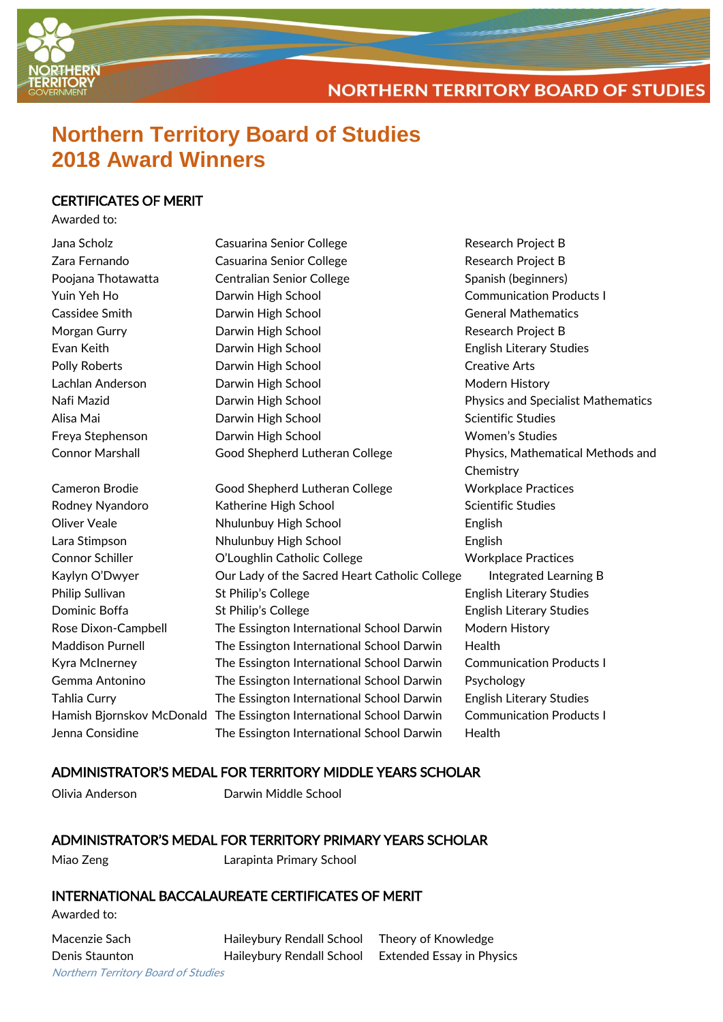

**NORTHERN TERRITORY BOARD OF STUDIES** 

# **Northern Territory Board of Studies 2018 Award Winners**

# CERTIFICATES OF MERIT

Awarded to:

| Jana Scholz             | Casuarina Senior College                                               | Research Project B                        |
|-------------------------|------------------------------------------------------------------------|-------------------------------------------|
| Zara Fernando           | Casuarina Senior College                                               | <b>Research Project B</b>                 |
| Poojana Thotawatta      | <b>Centralian Senior College</b>                                       | Spanish (beginners)                       |
| Yuin Yeh Ho             | Darwin High School                                                     | <b>Communication Products I</b>           |
| Cassidee Smith          | Darwin High School                                                     | <b>General Mathematics</b>                |
| Morgan Gurry            | Darwin High School                                                     | Research Project B                        |
| Evan Keith              | Darwin High School                                                     | <b>English Literary Studies</b>           |
| Polly Roberts           | Darwin High School                                                     | <b>Creative Arts</b>                      |
| Lachlan Anderson        | Darwin High School                                                     | Modern History                            |
| Nafi Mazid              | Darwin High School                                                     | <b>Physics and Specialist Mathematics</b> |
| Alisa Mai               | Darwin High School                                                     | <b>Scientific Studies</b>                 |
| Freya Stephenson        | Darwin High School                                                     | <b>Women's Studies</b>                    |
| <b>Connor Marshall</b>  | Good Shepherd Lutheran College                                         | Physics, Mathematical Methods and         |
|                         |                                                                        | Chemistry                                 |
| <b>Cameron Brodie</b>   | Good Shepherd Lutheran College                                         | <b>Workplace Practices</b>                |
| Rodney Nyandoro         | Katherine High School                                                  | <b>Scientific Studies</b>                 |
| <b>Oliver Veale</b>     | Nhulunbuy High School                                                  | English                                   |
| Lara Stimpson           | Nhulunbuy High School                                                  | English                                   |
| Connor Schiller         | O'Loughlin Catholic College                                            | <b>Workplace Practices</b>                |
| Kaylyn O'Dwyer          | Our Lady of the Sacred Heart Catholic College<br>Integrated Learning B |                                           |
| Philip Sullivan         | St Philip's College                                                    | <b>English Literary Studies</b>           |
| Dominic Boffa           | St Philip's College                                                    | <b>English Literary Studies</b>           |
| Rose Dixon-Campbell     | The Essington International School Darwin                              | Modern History                            |
| <b>Maddison Purnell</b> | The Essington International School Darwin                              | Health                                    |
| Kyra McInerney          | The Essington International School Darwin                              | <b>Communication Products I</b>           |
| Gemma Antonino          | The Essington International School Darwin                              | Psychology                                |
| Tahlia Curry            | The Essington International School Darwin                              | <b>English Literary Studies</b>           |
|                         | Hamish Bjornskov McDonald The Essington International School Darwin    | <b>Communication Products I</b>           |
| Jenna Considine         | The Essington International School Darwin                              | Health                                    |
|                         |                                                                        |                                           |

# ADMINISTRATOR'S MEDAL FOR TERRITORY MIDDLE YEARS SCHOLAR

Olivia Anderson Darwin Middle School

# ADMINISTRATOR'S MEDAL FOR TERRITORY PRIMARY YEARS SCHOLAR

Miao Zeng Larapinta Primary School

# INTERNATIONAL BACCALAUREATE CERTIFICATES OF MERIT

Awarded to:

Northern Territory Board of Studies Macenzie Sach Haileybury Rendall School Theory of Knowledge Denis Staunton **Haileybury Rendall School** Extended Essay in Physics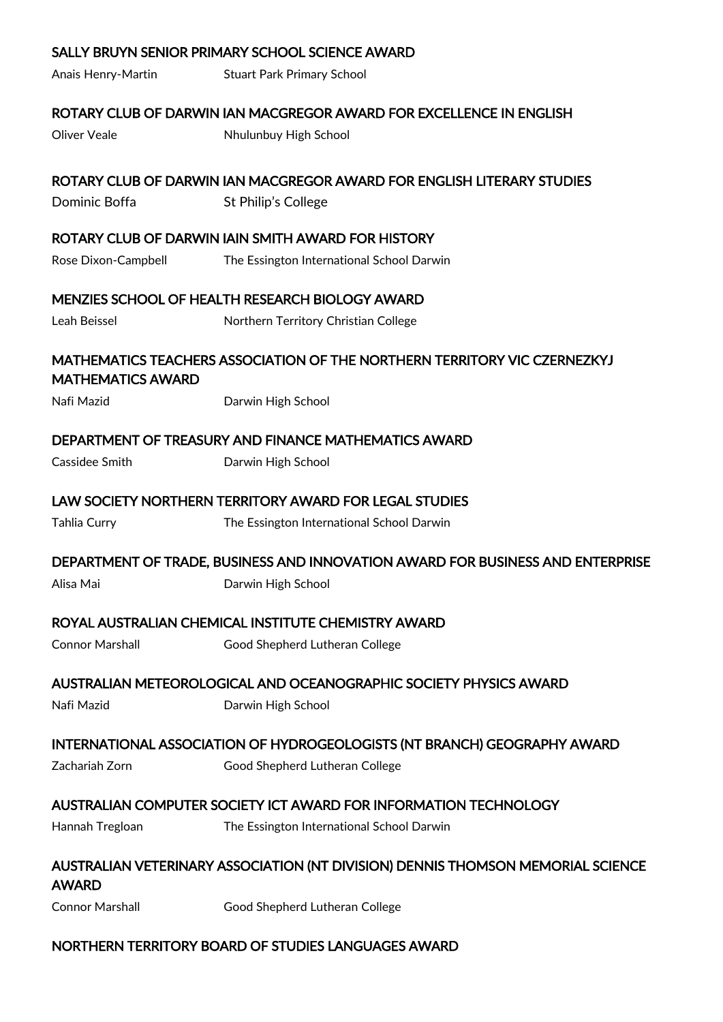|                          | SALLY BRUYN SENIOR PRIMARY SCHOOL SCIENCE AWARD                                 |
|--------------------------|---------------------------------------------------------------------------------|
| Anais Henry-Martin       | <b>Stuart Park Primary School</b>                                               |
|                          | ROTARY CLUB OF DARWIN IAN MACGREGOR AWARD FOR EXCELLENCE IN ENGLISH             |
| Oliver Veale             | Nhulunbuy High School                                                           |
|                          | ROTARY CLUB OF DARWIN IAN MACGREGOR AWARD FOR ENGLISH LITERARY STUDIES          |
| Dominic Boffa            | St Philip's College                                                             |
|                          | ROTARY CLUB OF DARWIN IAIN SMITH AWARD FOR HISTORY                              |
| Rose Dixon-Campbell      | The Essington International School Darwin                                       |
|                          | MENZIES SCHOOL OF HEALTH RESEARCH BIOLOGY AWARD                                 |
| Leah Beissel             | Northern Territory Christian College                                            |
| <b>MATHEMATICS AWARD</b> | MATHEMATICS TEACHERS ASSOCIATION OF THE NORTHERN TERRITORY VIC CZERNEZKYJ       |
| Nafi Mazid               | Darwin High School                                                              |
|                          | DEPARTMENT OF TREASURY AND FINANCE MATHEMATICS AWARD                            |
| Cassidee Smith           | Darwin High School                                                              |
|                          | LAW SOCIETY NORTHERN TERRITORY AWARD FOR LEGAL STUDIES                          |
| Tahlia Curry             | The Essington International School Darwin                                       |
|                          | DEPARTMENT OF TRADE, BUSINESS AND INNOVATION AWARD FOR BUSINESS AND ENTERPRISE  |
| Alisa Mai                | Darwin High School                                                              |
|                          | ROYAL AUSTRALIAN CHEMICAL INSTITUTE CHEMISTRY AWARD                             |
| Connor Marshall          | Good Shepherd Lutheran College                                                  |
|                          |                                                                                 |
|                          | AUSTRALIAN METEOROLOGICAL AND OCEANOGRAPHIC SOCIETY PHYSICS AWARD               |
| Nafi Mazid               | Darwin High School                                                              |
|                          | INTERNATIONAL ASSOCIATION OF HYDROGEOLOGISTS (NT BRANCH) GEOGRAPHY AWARD        |
| Zachariah Zorn           | Good Shepherd Lutheran College                                                  |
|                          | AUSTRALIAN COMPUTER SOCIETY ICT AWARD FOR INFORMATION TECHNOLOGY                |
| Hannah Tregloan          | The Essington International School Darwin                                       |
| AWARD                    | AUSTRALIAN VETERINARY ASSOCIATION (NT DIVISION) DENNIS THOMSON MEMORIAL SCIENCE |
| <b>Connor Marshall</b>   | Good Shepherd Lutheran College                                                  |
|                          |                                                                                 |

# NORTHERN TERRITORY BOARD OF STUDIES LANGUAGES AWARD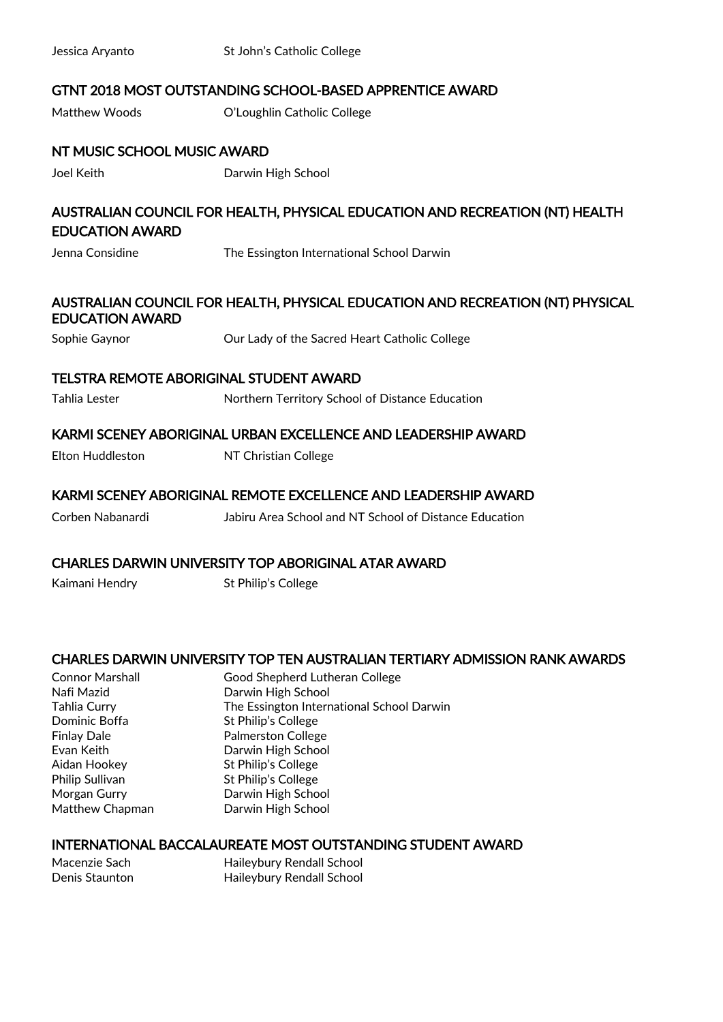| Jessica Aryanto                   | St John's Catholic College                                                     |
|-----------------------------------|--------------------------------------------------------------------------------|
|                                   | <b>GTNT 2018 MOST OUTSTANDING SCHOOL-BASED APPRENTICE AWARD</b>                |
| Matthew Woods                     | O'Loughlin Catholic College                                                    |
| NT MUSIC SCHOOL MUSIC AWARD       |                                                                                |
| Joel Keith                        | Darwin High School                                                             |
| <b>EDUCATION AWARD</b>            | AUSTRALIAN COUNCIL FOR HEALTH, PHYSICAL EDUCATION AND RECREATION (NT) HEALTH   |
| Jenna Considine                   | The Essington International School Darwin                                      |
| <b>EDUCATION AWARD</b>            | AUSTRALIAN COUNCIL FOR HEALTH, PHYSICAL EDUCATION AND RECREATION (NT) PHYSICAL |
| Sophie Gaynor                     | Our Lady of the Sacred Heart Catholic College                                  |
|                                   | <b>TELSTRA REMOTE ABORIGINAL STUDENT AWARD</b>                                 |
| Tahlia Lester                     | Northern Territory School of Distance Education                                |
|                                   | KARMI SCENEY ABORIGINAL URBAN EXCELLENCE AND LEADERSHIP AWARD                  |
| Elton Huddleston                  | NT Christian College                                                           |
|                                   | KARMI SCENEY ABORIGINAL REMOTE EXCELLENCE AND LEADERSHIP AWARD                 |
| Corben Nabanardi                  | Jabiru Area School and NT School of Distance Education                         |
|                                   | <b>CHARLES DARWIN UNIVERSITY TOP ABORIGINAL ATAR AWARD</b>                     |
| Kaimani Hendry                    | St Philip's College                                                            |
|                                   | CHARLES DARWIN UNIVERSITY TOP TEN AUSTRALIAN TERTIARY ADMISSION RANK AWARDS    |
| <b>Connor Marshall</b>            | Good Shepherd Lutheran College                                                 |
| Nafi Mazid<br><b>Tahlia Curry</b> | Darwin High School<br>The Essington International School Darwin                |
| Dominic Boffa                     | St Philip's College                                                            |
| <b>Finlay Dale</b>                | <b>Palmerston College</b>                                                      |
| Evan Keith                        | Darwin High School                                                             |
| Aidan Hookey                      | St Philip's College                                                            |
| Philip Sullivan                   | St Philip's College                                                            |
| Morgan Gurry<br>Matthew Chapman   | Darwin High School<br>Darwin High School                                       |
|                                   | <b>INTERNATIONAL BACCALAUREATE MOST OUTSTANDING STUDENT AWARD</b>              |
| Macenzie Sach                     | Haileybury Rendall School                                                      |
| Denis Staunton                    | Haileybury Rendall School                                                      |